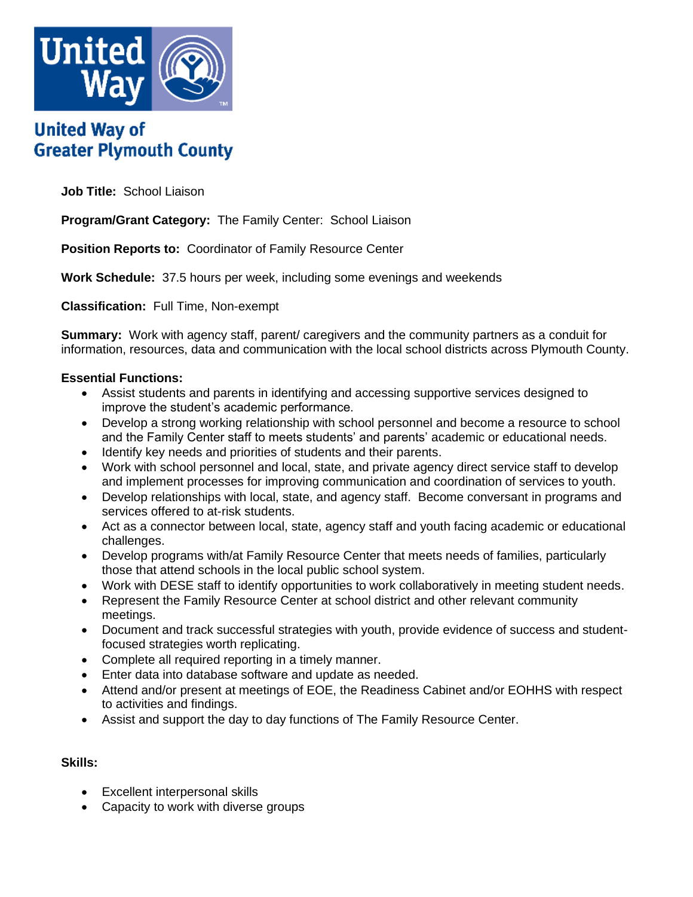

# **United Way of Greater Plymouth County**

**Job Title:** School Liaison

**Program/Grant Category:** The Family Center: School Liaison

**Position Reports to:** Coordinator of Family Resource Center

**Work Schedule:** 37.5 hours per week, including some evenings and weekends

**Classification:** Full Time, Non-exempt

**Summary:** Work with agency staff, parent/ caregivers and the community partners as a conduit for information, resources, data and communication with the local school districts across Plymouth County.

# **Essential Functions:**

- Assist students and parents in identifying and accessing supportive services designed to improve the student's academic performance.
- Develop a strong working relationship with school personnel and become a resource to school and the Family Center staff to meets students' and parents' academic or educational needs.
- Identify key needs and priorities of students and their parents.
- Work with school personnel and local, state, and private agency direct service staff to develop and implement processes for improving communication and coordination of services to youth.
- Develop relationships with local, state, and agency staff. Become conversant in programs and services offered to at-risk students.
- Act as a connector between local, state, agency staff and youth facing academic or educational challenges.
- Develop programs with/at Family Resource Center that meets needs of families, particularly those that attend schools in the local public school system.
- Work with DESE staff to identify opportunities to work collaboratively in meeting student needs.
- Represent the Family Resource Center at school district and other relevant community meetings.
- Document and track successful strategies with youth, provide evidence of success and studentfocused strategies worth replicating.
- Complete all required reporting in a timely manner.
- Enter data into database software and update as needed.
- Attend and/or present at meetings of EOE, the Readiness Cabinet and/or EOHHS with respect to activities and findings.
- Assist and support the day to day functions of The Family Resource Center.

# **Skills:**

- Excellent interpersonal skills
- Capacity to work with diverse groups